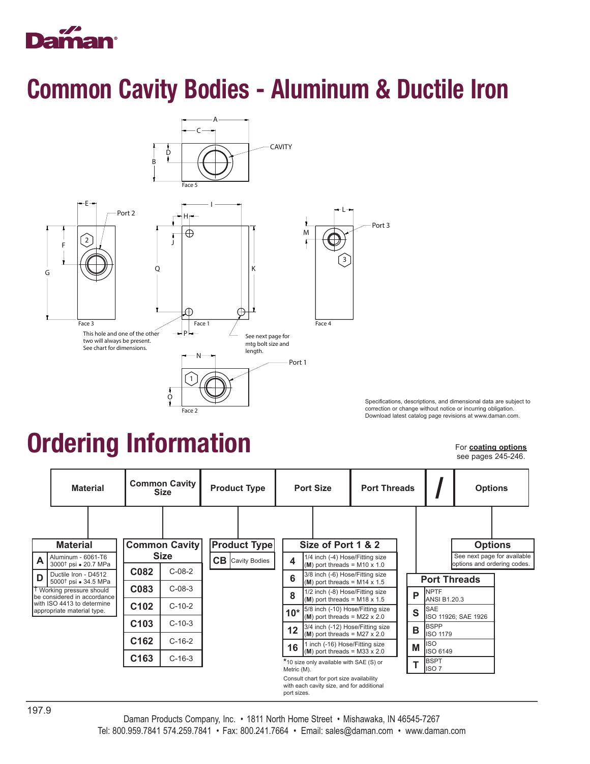

### Common Cavity Bodies - Aluminum & Ductile Iron



Specifications, descriptions, and dimensional data are subject to correction or change without notice or incurring obligation. Download latest catalog page revisions at www.daman.com.

### Ordering Information

For **coating options** see pages 245-246.

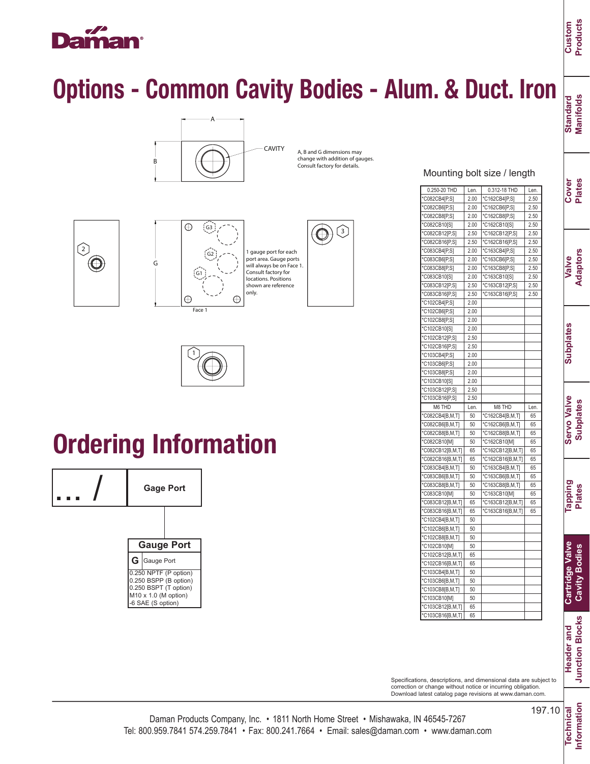# H

 $\odot$ 

## Options - Common Cavity Bodies - Alum. & Duct. Iron



A, B and G dimensions may change with addition of gauges. Consult factory for details.





## Ordering Information



| 0.250-20 THD                                        | Len.     | 0.312-18 THD     | Len. |
|-----------------------------------------------------|----------|------------------|------|
| *C082CB4[P,S]                                       | 2.00     | *C162CB4[P,S]    | 2.50 |
| *C082CB6[P,S]                                       | 2.00     | *C162CB6[P,S]    | 2.50 |
| *C082CB8[P,S]                                       | 2.00     | *C162CB8[P,S]    | 2.50 |
| *C082CB10[S]                                        | 2.00     | *C162CB10[S]     | 2.50 |
| *C082CB12[P,S]                                      | 2.50     | *C162CB12[P,S]   | 2.50 |
| *C082CB16[P,S]                                      | 2.50     | *C162CB16[P,S]   | 2.50 |
| *C083CB4[P,S]                                       | 2.00     | *C163CB4[P,S]    | 2.50 |
| *C083CB6[P,S]                                       | 2.00     | *C163CB6[P,S]    | 2.50 |
| *C083CB8[P,S]                                       | 2.00     | *C163CB8[P,S]    | 2.50 |
| *C083CB10[S]                                        | 2.00     | *C163CB10[S]     | 2.50 |
| *C083CB12[P,S]                                      | 2.50     | *C163CB12[P,S]   | 2.50 |
| *C083CB16[P,S]                                      | 2.50     | *C163CB16[P,S]   | 2.50 |
| *C102CB4[P,S]                                       | 2.00     |                  |      |
| *C102CB6[P,S]                                       | 2.00     |                  |      |
| *C102CB8[P,S]                                       | 2.00     |                  |      |
| *C102CB10[S]                                        | 2.00     |                  |      |
| *C102CB12[P,S]                                      | 2.50     |                  |      |
| *C102CB16[P,S]                                      | 2.50     |                  |      |
| *C103CB4[P,S]                                       | 2.00     |                  |      |
| *C103CB6[P,S]                                       | 2.00     |                  |      |
| *C103CB8[P,S]                                       | 2.00     |                  |      |
| *C103CB10[S]                                        | 2.00     |                  |      |
| *C103CB12[P,S]                                      | 2.50     |                  |      |
| *C103CB16[P,S]                                      | 2.50     |                  |      |
| M6 THD                                              | Len.     | M8 THD           | Len. |
| *C082CB4[B,M,T]                                     | 50       | *C162CB4[B,M,T]  | 65   |
| *C082CB6[B,M,T]                                     | 50       | *C162CB6[B,M,T]  | 65   |
| *C082CB8[B,M,T]                                     | 50       | *C162CB8[B,M,T]  | 65   |
| *C082CB10[M]                                        | 50       | *C162CB10[M]     | 65   |
| *C082CB12[B,M,T]                                    | 65       | *C162CB12[B,M,T] | 65   |
| *C082CB16[B,M,T]                                    | 65       | *C162CB16[B,M,T] | 65   |
| *C083CB4[B,M,T]                                     | 50       | *C163CB4[B,M,T]  | 65   |
| *C083CB6[B,M,T]                                     | 50       | *C163CB6[B,M,T]  | 65   |
| *C083CB8[B,M,T]                                     | 50       | *C163CB8[B,M,T]  | 65   |
| *C083CB10[M]                                        | 50       | *C163CB10[M]     | 65   |
| *C083CB12[B,M,T]                                    | 65       | *C163CB12[B,M,T] | 65   |
| *C083CB16[B,M,T]                                    | 65       | *C163CB16[B,M,T] | 65   |
| *C102CB4[B,M,T]                                     | 50       |                  |      |
| *C102CB6[B,M,T]                                     | 50       |                  |      |
| *C102CB8[B,M,T]                                     | 50       |                  |      |
| *C102CB10[M]                                        | 50       |                  |      |
| *C102CB12[B,M,T]                                    | 65       |                  |      |
| *C102CB16[B,M,T]                                    | 65       |                  |      |
| *C103CB4[B,M,T]                                     | 50       |                  |      |
| *C103CB6[B,M,T]                                     | 50       |                  |      |
|                                                     | 50       |                  |      |
|                                                     |          |                  |      |
|                                                     |          |                  |      |
| *C103CB8[B,M,T]<br>*C103CB10[M]<br>*C103CB12[B,M,T] | 50<br>65 |                  |      |

Specifications, descriptions, and dimensional data are subject to correction or change without notice or incurring obligation. Download latest catalog page revisions at www.daman.com.

Standard<br>Manifolds **Manifolds Standard**

**Cover Plates**

**Custom Products**

**Valve Adaptors**

**Subplates Subplates**

**Servo Valve Servo Valve Subplates Subplates**

**Information**

Information

197.10 Technical **Technical**